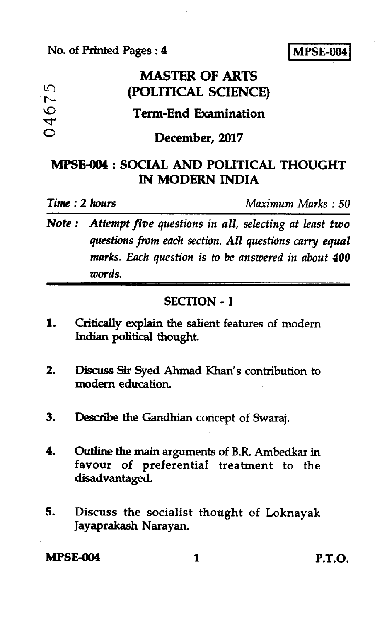#### **No. of Printed Pages : 4 MPSE-004**

|                       | <b>MASTER OF ARTS</b>       |
|-----------------------|-----------------------------|
| ഥ<br>$\sim$           | (POLITICAL SCIENCE)         |
| $\mathbf \Omega$<br>4 | <b>Term-End Examination</b> |
| O                     | December, 2017              |

# **MPSE-004 : SOCIAL AND POLITICAL THOUGHT IN MODERN INDIA**

*Time : 2 hours Maximum Marks : 50* 

*Note : Attempt five questions in all, selecting at least two questions from each section. All questions carry equal marks. Each question is to be answered in about 400 words.* 

### **SECTION - I**

- **1. Critically explain the salient features of modem Indian political thought.**
- **2. Discuss Sir Syed Ahmad Khan's contribution to modem education.**
- **3. Describe the Gandhian concept of Swaraj.**
- **4. Outline the main arguments of B.R. Ambedkar in favour of preferential treatment to the disadvantaged.**
- **5. Discuss the socialist thought of Loknayak Jayaprakash Narayan.**

**MPSE-004 1 P.T.O.**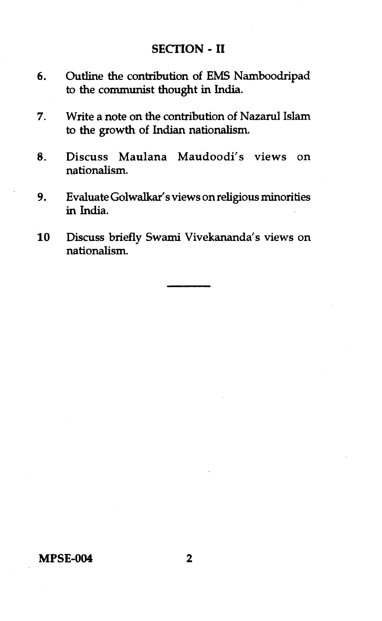#### **SECTION - II**

- **6. Outline the contribution of EMS Namboodripad to the communist thought in India.**
- **7. Write a note on the contribution of Nazarul Islam to the growth of Indian nationalism.**
- **8. Discuss Maulana Maudoodi's views on nationalism.**
- **9. Evaluate Golwalkar's views on religious minorities in India.**
- **10 Discuss briefly Swami Vivekananda's views on nationalism.**

**MPSE-004 2**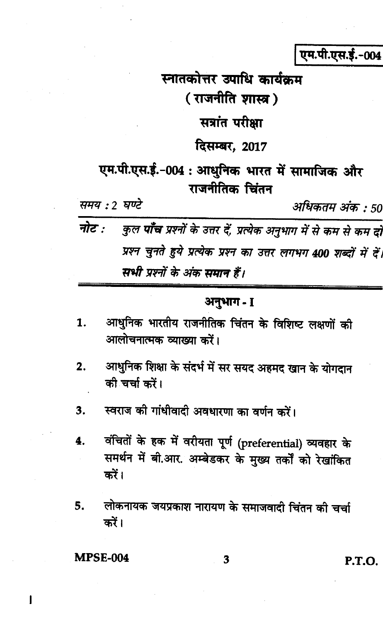एम.पी.एस.ई.-004

स्नातकोत्तर उपाधि कार्यक्रम (राजनीति शास्त्र) सत्रांत परीक्षा दिसम्बर, 2017 एम.पी.एस.ई.-004 : आधुनिक भारत में सामाजिक और राजनीतिक चिंतन समय : 2 घण्टे अधिकतम अंक : 50 नोट $\cdot$ कुल **पाँच** प्रश्नों के उत्तर दें, प्रत्येक अनुभाग में से कम से कम दो प्रश्न चुनते हुये प्रत्येक प्रश्न का उत्तर लगभग 400 शब्दों में दें। सभी प्रश्नों के अंक समान हैं।

## अनुभाग - 1

- आधुनिक भारतीय राजनीतिक चिंतन के विशिष्ट लक्षणों की 1. आलोचनात्मक व्याख्या करें।
- आधुनिक शिक्षा के संदर्भ में सर सयद अहमद खान के योगदान  $2.$ की चर्चा करें।
- स्वराज की गांधीवादी अवधारणा का वर्णन करें।  $3.$
- वंचितों के हक में वरीयता पूर्ण (preferential) व्यवहार के 4. समर्थन में बी.आर. अम्बेडकर के मुख्य तर्कों को रेखांकित करें।
- लोकनायक जयप्रकाश नारायण के समाजवादी चिंतन की चर्चा 5. करें।

#### **MPSE-004**

1

3

P.T.O.